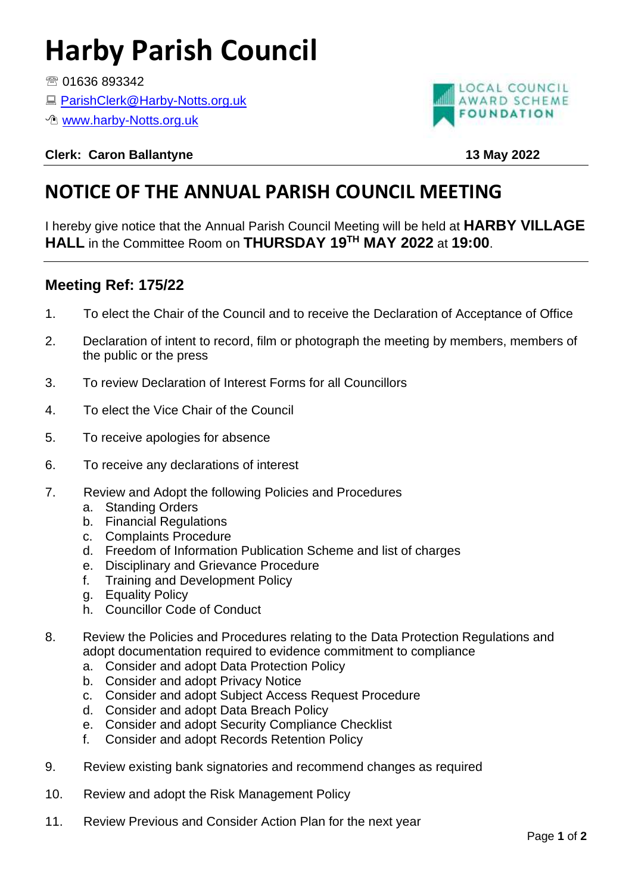## **Harby Parish Council**

图 01636 893342

- [ParishClerk@Harby-Notts.org.uk](mailto:ParishClerk@Harby-Notts.org.uk)
- *<sup>th</sup>* [www.harby-Notts.org.uk](http://www.harby-notts.org.uk/)



**Clerk: Caron Ballantyne 13 May 2022**

## **NOTICE OF THE ANNUAL PARISH COUNCIL MEETING**

I hereby give notice that the Annual Parish Council Meeting will be held at **HARBY VILLAGE HALL** in the Committee Room on **THURSDAY 19TH MAY 2022** at **19:00**.

## **Meeting Ref: 175/22**

- 1. To elect the Chair of the Council and to receive the Declaration of Acceptance of Office
- 2. Declaration of intent to record, film or photograph the meeting by members, members of the public or the press
- 3. To review Declaration of Interest Forms for all Councillors
- 4. To elect the Vice Chair of the Council
- 5. To receive apologies for absence
- 6. To receive any declarations of interest
- 7. Review and Adopt the following Policies and Procedures
	- a. Standing Orders
	- b. Financial Regulations
	- c. Complaints Procedure
	- d. Freedom of Information Publication Scheme and list of charges
	- e. Disciplinary and Grievance Procedure
	- f. Training and Development Policy
	- g. Equality Policy
	- h. Councillor Code of Conduct
- 8. Review the Policies and Procedures relating to the Data Protection Regulations and adopt documentation required to evidence commitment to compliance
	- a. Consider and adopt Data Protection Policy
	- b. Consider and adopt Privacy Notice
	- c. Consider and adopt Subject Access Request Procedure
	- d. Consider and adopt Data Breach Policy
	- e. Consider and adopt Security Compliance Checklist
	- f. Consider and adopt Records Retention Policy
- 9. Review existing bank signatories and recommend changes as required
- 10. Review and adopt the Risk Management Policy
- 11. Review Previous and Consider Action Plan for the next year